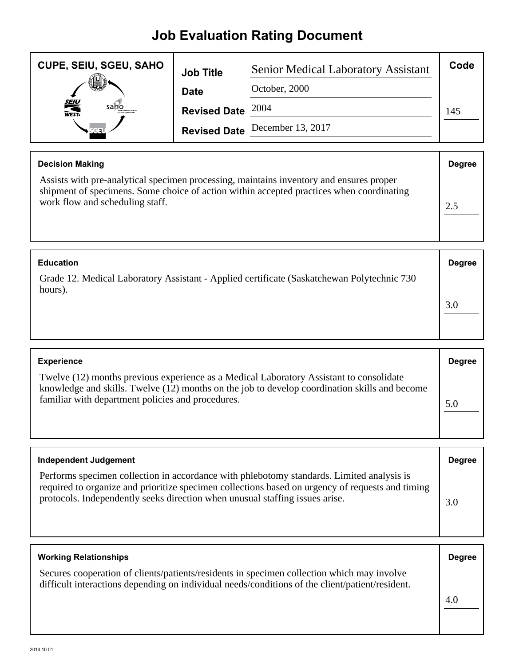## **Job Evaluation Rating Document**

| <b>CUPE, SEIU, SGEU, SAHO</b> | <b>Job Title</b>    | <b>Senior Medical Laboratory Assistant</b> | Code |
|-------------------------------|---------------------|--------------------------------------------|------|
|                               | <b>Date</b>         | October, 2000                              |      |
| <b>SEIU</b><br>WEST-<br>saho  | Revised Date $2004$ |                                            | 145  |
|                               |                     | Revised Date December 13, 2017             |      |

| <b>Decision Making</b>                                                                                                                                                                                                 | <b>Degree</b> |
|------------------------------------------------------------------------------------------------------------------------------------------------------------------------------------------------------------------------|---------------|
| Assists with pre-analytical specimen processing, maintains inventory and ensures proper<br>shipment of specimens. Some choice of action within accepted practices when coordinating<br>work flow and scheduling staff. |               |

| <b>Education</b>                                                                                       | <b>Degree</b> |
|--------------------------------------------------------------------------------------------------------|---------------|
| Grade 12. Medical Laboratory Assistant - Applied certificate (Saskatchewan Polytechnic 730)<br>hours). |               |
|                                                                                                        | 3.0           |

| <b>Experience</b>                                                                                                                                                                                                                             | <b>Degree</b> |
|-----------------------------------------------------------------------------------------------------------------------------------------------------------------------------------------------------------------------------------------------|---------------|
| Twelve (12) months previous experience as a Medical Laboratory Assistant to consolidate<br>knowledge and skills. Twelve (12) months on the job to develop coordination skills and become<br>familiar with department policies and procedures. | 5.0           |

| <b>Independent Judgement</b>                                                                                                                                                                                                                                                  | <b>Degree</b> |
|-------------------------------------------------------------------------------------------------------------------------------------------------------------------------------------------------------------------------------------------------------------------------------|---------------|
| Performs specimen collection in accordance with phlebotomy standards. Limited analysis is<br>required to organize and prioritize specimen collections based on urgency of requests and timing<br>protocols. Independently seeks direction when unusual staffing issues arise. | 3.0           |

| <b>Working Relationships</b>                                                                                                                                                                  | <b>Degree</b> |
|-----------------------------------------------------------------------------------------------------------------------------------------------------------------------------------------------|---------------|
| Secures cooperation of clients/patients/residents in specimen collection which may involve<br>difficult interactions depending on individual needs/conditions of the client/patient/resident. |               |
|                                                                                                                                                                                               | 4.0           |